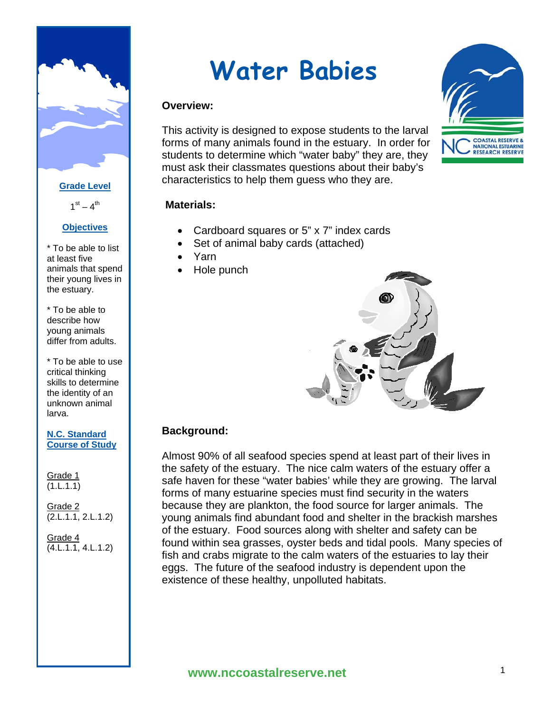

#### **Grade Level**

 $1<sup>st</sup> - 4<sup>th</sup>$ 

# **Objectives**

\* To be able to list at least five animals that spend their young lives in the estuary.

\* To be able to describe how young animals differ from adults.

\* To be able to use critical thinking skills to determine the identity of an unknown animal larva.

#### **N.C. Standard Course of Study**

Grade 1  $(1.L.1.1)$ 

Grade 2  $\overline{(2.L.1.1, 2.L.1.2)}$ 

Grade 4  $\overline{(4.L.1.1, 4.L.1.2)}$ 

# **Water Babies**

# **Overview:**

This activity is designed to expose students to the larval forms of many animals found in the estuary. In order for students to determine which "water baby" they are, they must ask their classmates questions about their baby's characteristics to help them guess who they are.

## **Materials:**

- Cardboard squares or 5" x 7" index cards
- Set of animal baby cards (attached)
- Yarn
- Hole punch



# **Background:**

Almost 90% of all seafood species spend at least part of their lives in the safety of the estuary. The nice calm waters of the estuary offer a safe haven for these "water babies' while they are growing. The larval forms of many estuarine species must find security in the waters because they are plankton, the food source for larger animals. The young animals find abundant food and shelter in the brackish marshes of the estuary. Food sources along with shelter and safety can be found within sea grasses, oyster beds and tidal pools. Many species of fish and crabs migrate to the calm waters of the estuaries to lay their eggs. The future of the seafood industry is dependent upon the existence of these healthy, unpolluted habitats.

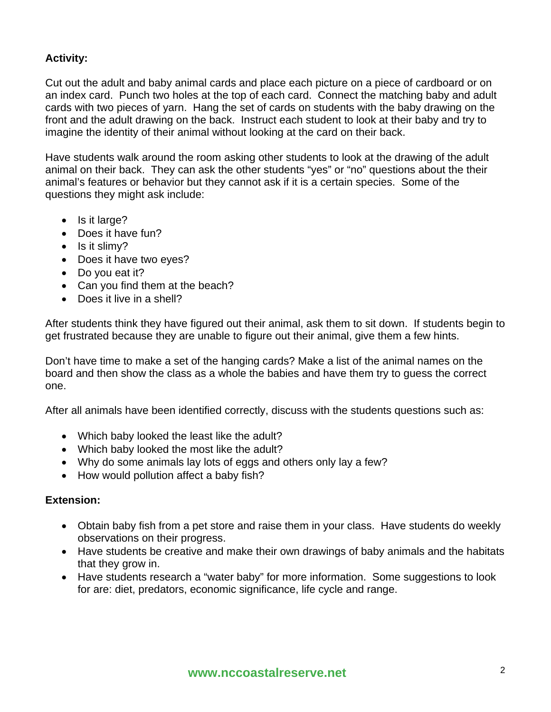# **Activity:**

Cut out the adult and baby animal cards and place each picture on a piece of cardboard or on an index card. Punch two holes at the top of each card. Connect the matching baby and adult cards with two pieces of yarn. Hang the set of cards on students with the baby drawing on the front and the adult drawing on the back. Instruct each student to look at their baby and try to imagine the identity of their animal without looking at the card on their back.

Have students walk around the room asking other students to look at the drawing of the adult animal on their back. They can ask the other students "yes" or "no" questions about the their animal's features or behavior but they cannot ask if it is a certain species. Some of the questions they might ask include:

- Is it large?
- Does it have fun?
- Is it slimy?
- Does it have two eyes?
- Do you eat it?
- Can you find them at the beach?
- Does it live in a shell?

After students think they have figured out their animal, ask them to sit down. If students begin to get frustrated because they are unable to figure out their animal, give them a few hints.

Don't have time to make a set of the hanging cards? Make a list of the animal names on the board and then show the class as a whole the babies and have them try to guess the correct one.

After all animals have been identified correctly, discuss with the students questions such as:

- Which baby looked the least like the adult?
- Which baby looked the most like the adult?
- Why do some animals lay lots of eggs and others only lay a few?
- How would pollution affect a baby fish?

### **Extension:**

- Obtain baby fish from a pet store and raise them in your class. Have students do weekly observations on their progress.
- Have students be creative and make their own drawings of baby animals and the habitats that they grow in.
- Have students research a "water baby" for more information. Some suggestions to look for are: diet, predators, economic significance, life cycle and range.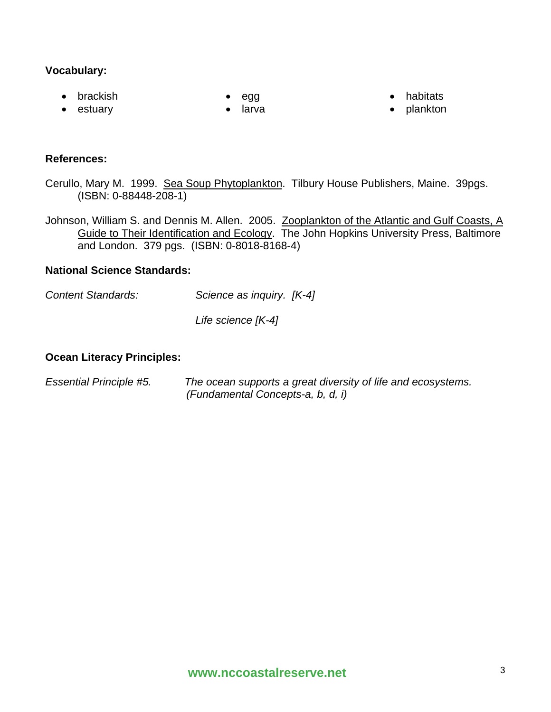### **Vocabulary:**

• egg

• brackish • estuary

larva

- habitats
- plankton

- **References:**
- Cerullo, Mary M. 1999. Sea Soup Phytoplankton. Tilbury House Publishers, Maine. 39pgs. (ISBN: 0-88448-208-1)
- Johnson, William S. and Dennis M. Allen. 2005. Zooplankton of the Atlantic and Gulf Coasts, A Guide to Their Identification and Ecology. The John Hopkins University Press, Baltimore and London. 379 pgs. (ISBN: 0-8018-8168-4)

### **National Science Standards:**

- *Content Standards: Science as inquiry. [K-4]* 
	- *Life science [K-4]*

### **Ocean Literacy Principles:**

| <b>Essential Principle #5.</b> | The ocean supports a great diversity of life and ecosystems. |
|--------------------------------|--------------------------------------------------------------|
|                                | (Fundamental Concepts-a, b, d, i)                            |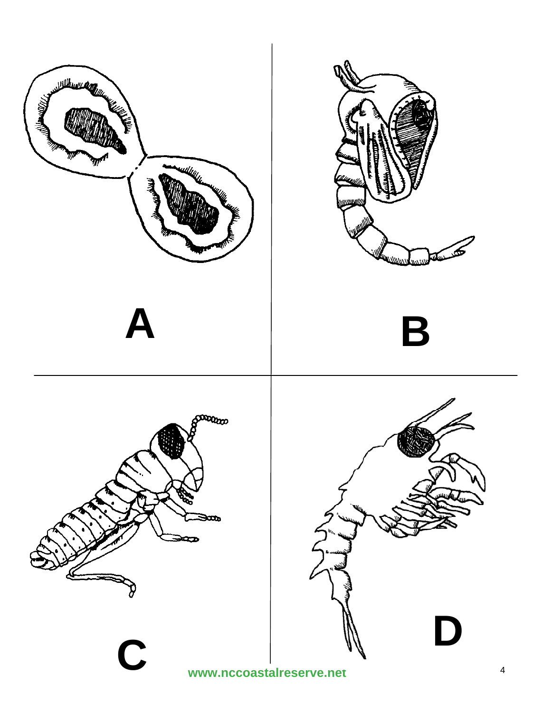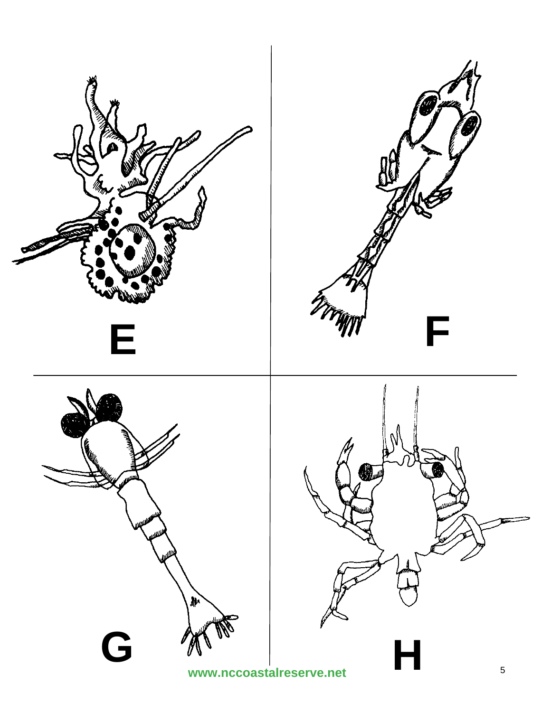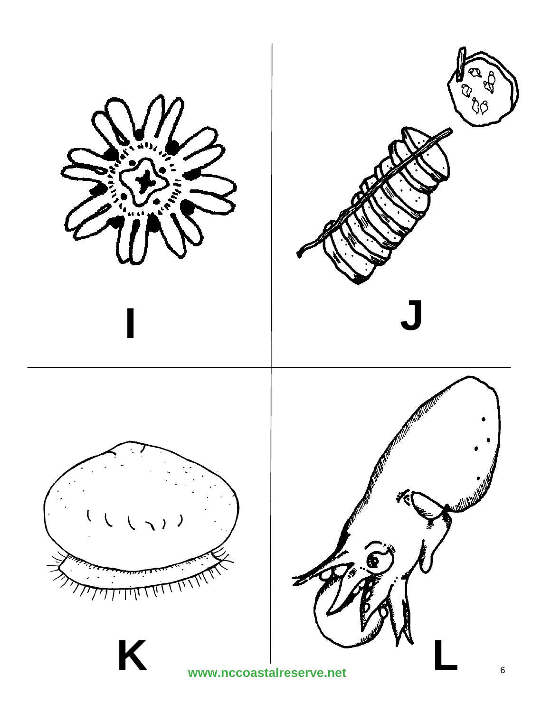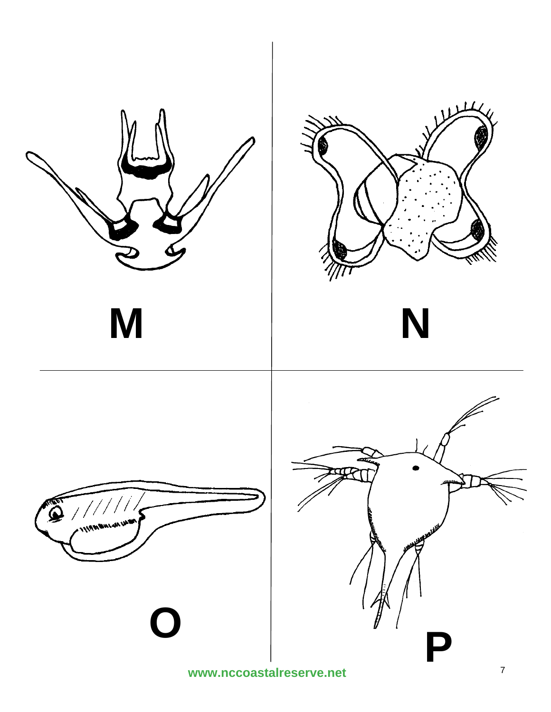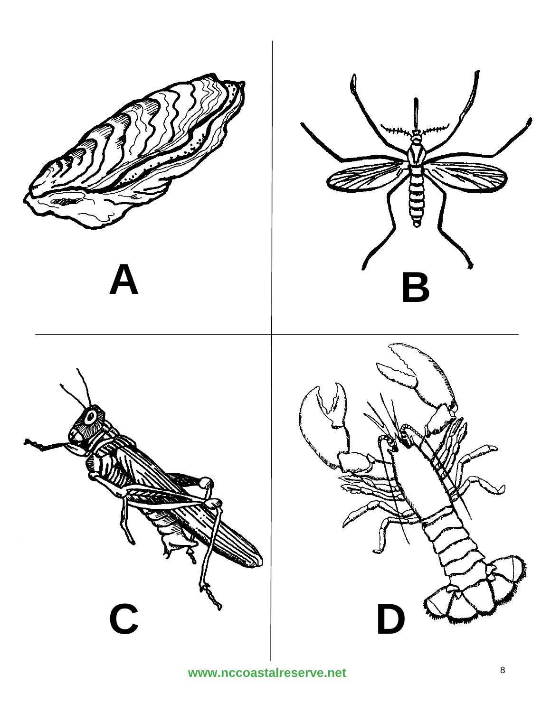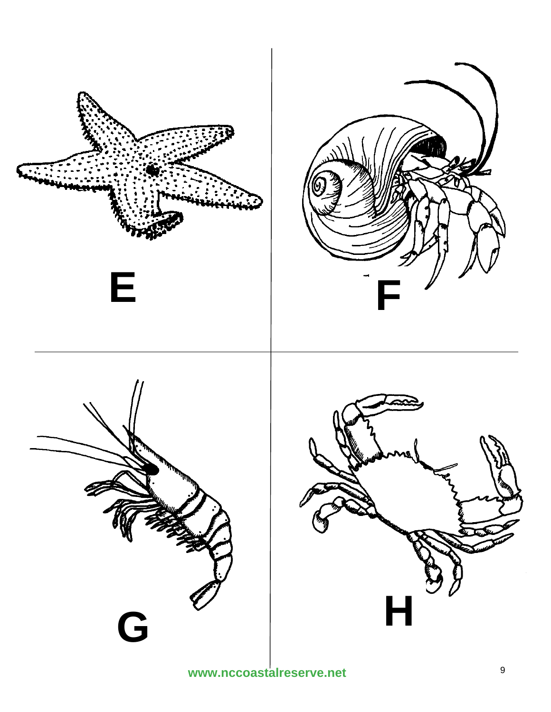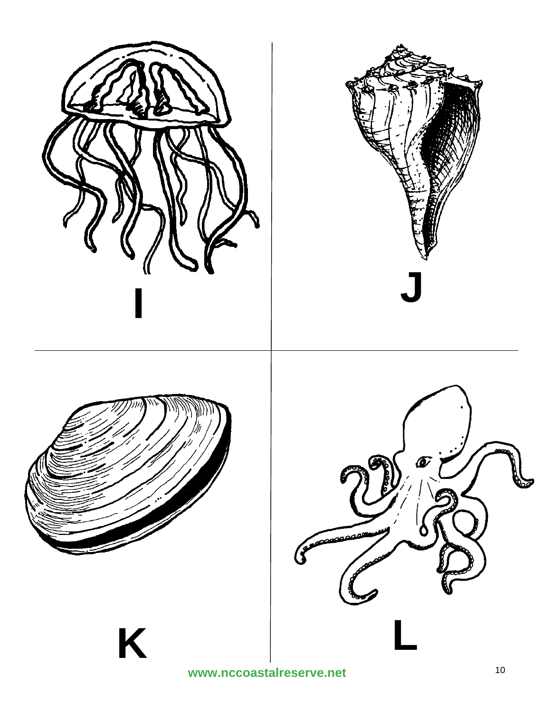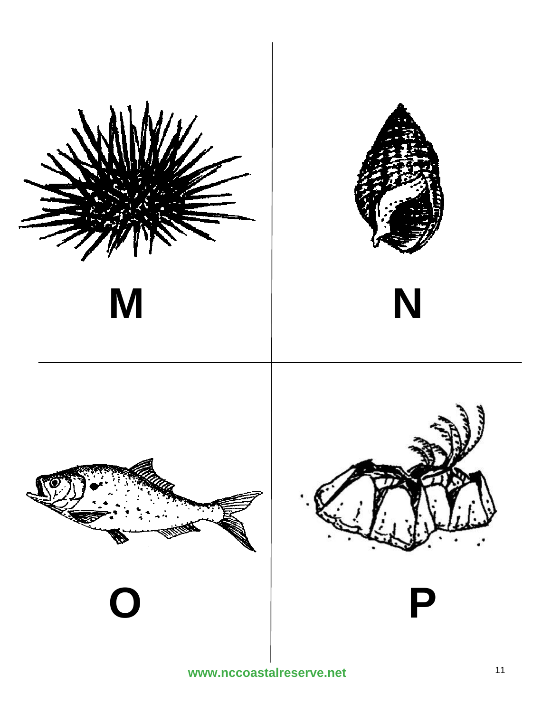

www.nccoastalreserve.net